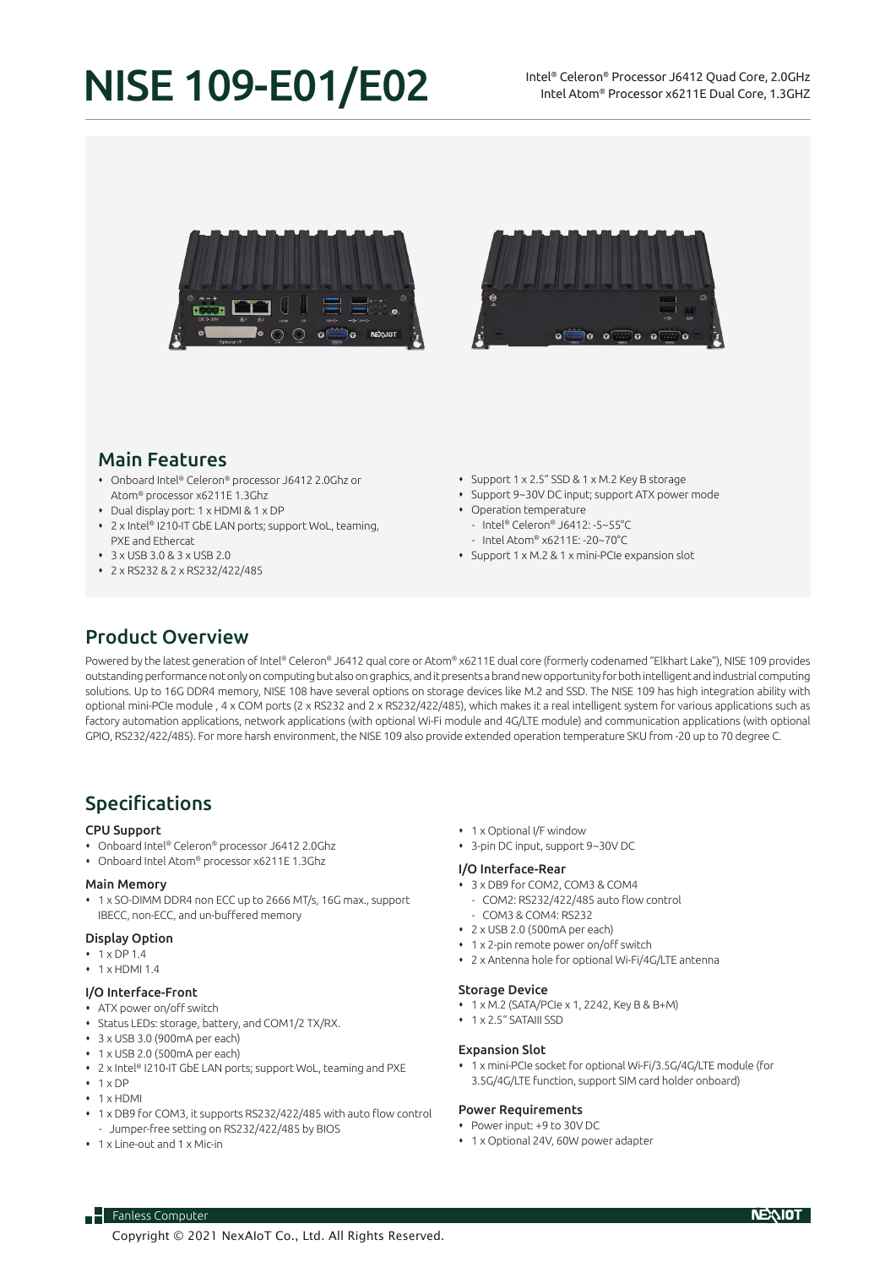# NISE 109-E01/E02





## Main Features

- Onboard Intel® Celeron® processor J6412 2.0Ghz or Atom® processor x6211E 1.3Ghz
- Dual display port: 1 x HDMI & 1 x DP
- 2 x Intel® I210-IT GbE LAN ports; support WoL, teaming, PXE and Ethercat
- $\sqrt{3}$  x USB 3.0 & 3 x USB 2.0
- 2 x RS232 & 2 x RS232/422/485
- Support 1 x 2.5" SSD & 1 x M.2 Key B storage
- Support 9~30V DC input; support ATX power mode
- Operation temperature
	- Intel® Celeron® J6412: -5~55°C
	- Intel Atom® x6211E: -20~70°C
- Support 1 x M.2 & 1 x mini-PCIe expansion slot

# Product Overview

Powered by the latest generation of Intel® Celeron® J6412 qual core or Atom® x6211E dual core (formerly codenamed "Elkhart Lake"), NISE 109 provides outstanding performance not only on computing but also on graphics, and it presents a brand new opportunity for both intelligent and industrial computing solutions. Up to 16G DDR4 memory, NISE 108 have several options on storage devices like M.2 and SSD. The NISE 109 has high integration ability with optional mini-PCIe module , 4 x COM ports (2 x RS232 and 2 x RS232/422/485), which makes it a real intelligent system for various applications such as factory automation applications, network applications (with optional Wi-Fi module and 4G/LTE module) and communication applications (with optional GPIO, RS232/422/485). For more harsh environment, the NISE 109 also provide extended operation temperature SKU from -20 up to 70 degree C.

# Specifications

#### CPU Support

- Onboard Intel® Celeron® processor J6412 2.0Ghz
- Onboard Intel Atom® processor x6211E 1.3Ghz

#### Main Memory

 1 x SO-DIMM DDR4 non ECC up to 2666 MT/s, 16G max., support IBECC, non-ECC, and un-buffered memory

#### Display Option

- $\cdot$  1 x DP 1.4
- $\cdot$  1  $\times$  HDMI 1.4

## I/O Interface-Front

- ATX power on/off switch
- Status LEDs: storage, battery, and COM1/2 TX/RX.
- 3 x USB 3.0 (900mA per each)
- $+1$  x USB 2.0 (500mA per each)
- 2 x Intel® I210-IT GbE LAN ports; support WoL, teaming and PXE
- $+ 1 \times DP$
- $+ 1$  x HDMI
- 1 x DB9 for COM3, it supports RS232/422/485 with auto flow control - Jumper-free setting on RS232/422/485 by BIOS
- 1 x Line-out and 1 x Mic-in

 $\overline{\phantom{a}}$  Fanless Computer

- 1 x Optional I/F window
- 3-pin DC input, support 9~30V DC

#### I/O Interface-Rear

- 3 x DB9 for COM2, COM3 & COM4
- COM2: RS232/422/485 auto flow control
- COM3 & COM4: RS232
- 2 x USB 2.0 (500mA per each)
- 1 x 2-pin remote power on/off switch
- 2 x Antenna hole for optional Wi-Fi/4G/LTE antenna

#### Storage Device

- 1 x M.2 (SATA/PCIe x 1, 2242, Key B & B+M)
- 1 x 2.5" SATAIII SSD

#### Expansion Slot

 1 x mini-PCIe socket for optional Wi-Fi/3.5G/4G/LTE module (for 3.5G/4G/LTE function, support SIM card holder onboard)

#### Power Requirements

- Power input: +9 to 30V DC
- 1 x Optional 24V, 60W power adapter